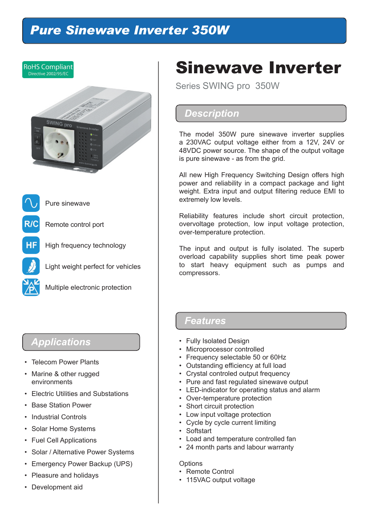## *Pure Sinewave Inverter 350W*



## *Applications*

- Telecom Power Plants
- Marine & other rugged environments
- Electric Utilities and Substations
- Base Station Power
- Industrial Controls
- Solar Home Systems
- Fuel Cell Applications
- Solar / Alternative Power Systems
- Emergency Power Backup (UPS)
- Pleasure and holidays
- Development aid

## Sinewave Inverter

Series SWING pro 350W

## *Description*

The model 350W pure sinewave inverter supplies a 230VAC output voltage either from a 12V, 24V or 48VDC power source. The shape of the output voltage is pure sinewave - as from the grid.

All new High Frequency Switching Design offers high power and reliability in a compact package and light weight. Extra input and output filtering reduce EMI to extremely low levels.

Reliability features include short circuit protection, overvoltage protection, low input voltage protection, over-temperature protection.

The input and output is fully isolated. The superb overload capability supplies short time peak power to start heavy equipment such as pumps and compressors.

### *Features*

- Fully Isolated Design
- Microprocessor controlled
- Frequency selectable 50 or 60Hz
- Outstanding efficiency at full load
- Crystal controled output frequency
- Pure and fast regulated sinewave output
- LED-indicator for operating status and alarm
- Over-temperature protection
- Short circuit protection
- Low input voltage protection
- Cycle by cycle current limiting
- Softstart
- Load and temperature controlled fan
- 24 month parts and labour warranty

#### **Options**

- Remote Control
- 115VAC output voltage